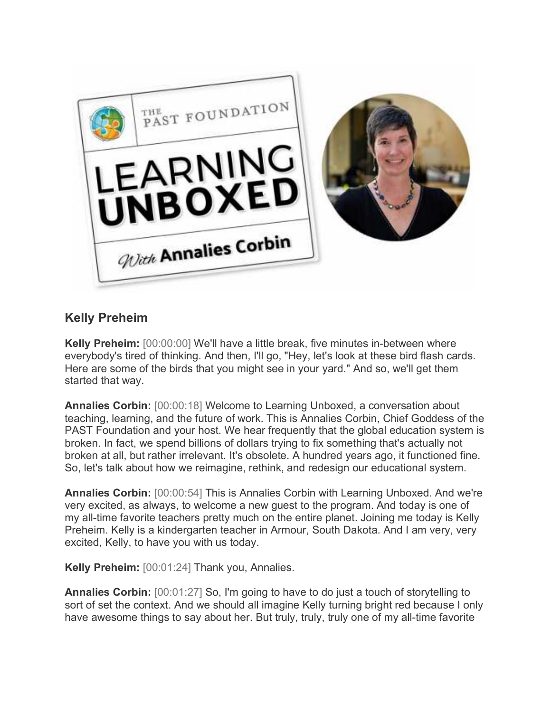

## **Kelly Preheim**

**Kelly Preheim:** [00:00:00] We'll have a little break, five minutes in-between where everybody's tired of thinking. And then, I'll go, "Hey, let's look at these bird flash cards. Here are some of the birds that you might see in your yard." And so, we'll get them started that way.

**Annalies Corbin:** [00:00:18] Welcome to Learning Unboxed, a conversation about teaching, learning, and the future of work. This is Annalies Corbin, Chief Goddess of the PAST Foundation and your host. We hear frequently that the global education system is broken. In fact, we spend billions of dollars trying to fix something that's actually not broken at all, but rather irrelevant. It's obsolete. A hundred years ago, it functioned fine. So, let's talk about how we reimagine, rethink, and redesign our educational system.

**Annalies Corbin:** [00:00:54] This is Annalies Corbin with Learning Unboxed. And we're very excited, as always, to welcome a new guest to the program. And today is one of my all-time favorite teachers pretty much on the entire planet. Joining me today is Kelly Preheim. Kelly is a kindergarten teacher in Armour, South Dakota. And I am very, very excited, Kelly, to have you with us today.

**Kelly Preheim:** [00:01:24] Thank you, Annalies.

**Annalies Corbin:** [00:01:27] So, I'm going to have to do just a touch of storytelling to sort of set the context. And we should all imagine Kelly turning bright red because I only have awesome things to say about her. But truly, truly, truly one of my all-time favorite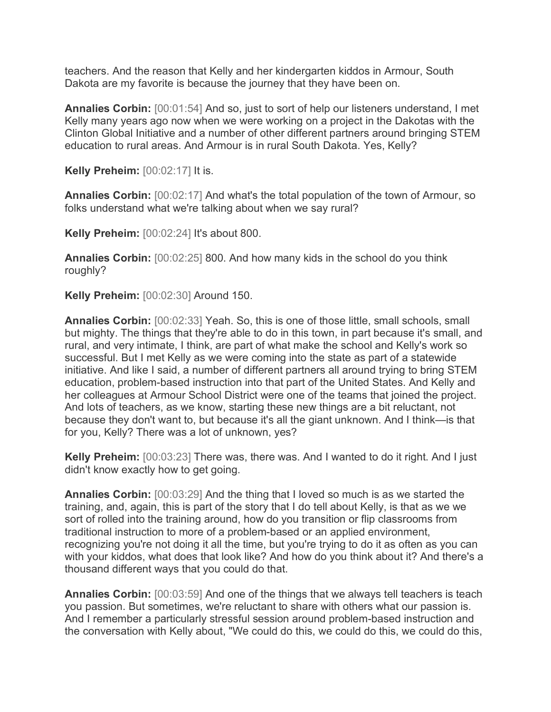teachers. And the reason that Kelly and her kindergarten kiddos in Armour, South Dakota are my favorite is because the journey that they have been on.

**Annalies Corbin:** [00:01:54] And so, just to sort of help our listeners understand, I met Kelly many years ago now when we were working on a project in the Dakotas with the Clinton Global Initiative and a number of other different partners around bringing STEM education to rural areas. And Armour is in rural South Dakota. Yes, Kelly?

**Kelly Preheim:** [00:02:17] It is.

**Annalies Corbin:** [00:02:17] And what's the total population of the town of Armour, so folks understand what we're talking about when we say rural?

**Kelly Preheim:** [00:02:24] It's about 800.

**Annalies Corbin:** [00:02:25] 800. And how many kids in the school do you think roughly?

**Kelly Preheim:** [00:02:30] Around 150.

**Annalies Corbin:** [00:02:33] Yeah. So, this is one of those little, small schools, small but mighty. The things that they're able to do in this town, in part because it's small, and rural, and very intimate, I think, are part of what make the school and Kelly's work so successful. But I met Kelly as we were coming into the state as part of a statewide initiative. And like I said, a number of different partners all around trying to bring STEM education, problem-based instruction into that part of the United States. And Kelly and her colleagues at Armour School District were one of the teams that joined the project. And lots of teachers, as we know, starting these new things are a bit reluctant, not because they don't want to, but because it's all the giant unknown. And I think—is that for you, Kelly? There was a lot of unknown, yes?

**Kelly Preheim:** [00:03:23] There was, there was. And I wanted to do it right. And I just didn't know exactly how to get going.

**Annalies Corbin:** [00:03:29] And the thing that I loved so much is as we started the training, and, again, this is part of the story that I do tell about Kelly, is that as we we sort of rolled into the training around, how do you transition or flip classrooms from traditional instruction to more of a problem-based or an applied environment, recognizing you're not doing it all the time, but you're trying to do it as often as you can with your kiddos, what does that look like? And how do you think about it? And there's a thousand different ways that you could do that.

**Annalies Corbin:** [00:03:59] And one of the things that we always tell teachers is teach you passion. But sometimes, we're reluctant to share with others what our passion is. And I remember a particularly stressful session around problem-based instruction and the conversation with Kelly about, "We could do this, we could do this, we could do this,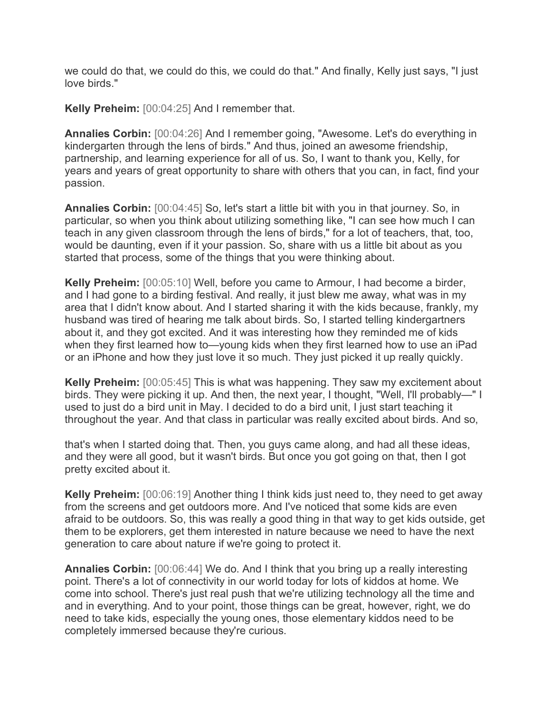we could do that, we could do this, we could do that." And finally, Kelly just says, "I just love birds."

**Kelly Preheim:** [00:04:25] And I remember that.

**Annalies Corbin:** [00:04:26] And I remember going, "Awesome. Let's do everything in kindergarten through the lens of birds." And thus, joined an awesome friendship, partnership, and learning experience for all of us. So, I want to thank you, Kelly, for years and years of great opportunity to share with others that you can, in fact, find your passion.

**Annalies Corbin:** [00:04:45] So, let's start a little bit with you in that journey. So, in particular, so when you think about utilizing something like, "I can see how much I can teach in any given classroom through the lens of birds," for a lot of teachers, that, too, would be daunting, even if it your passion. So, share with us a little bit about as you started that process, some of the things that you were thinking about.

**Kelly Preheim:** [00:05:10] Well, before you came to Armour, I had become a birder, and I had gone to a birding festival. And really, it just blew me away, what was in my area that I didn't know about. And I started sharing it with the kids because, frankly, my husband was tired of hearing me talk about birds. So, I started telling kindergartners about it, and they got excited. And it was interesting how they reminded me of kids when they first learned how to—young kids when they first learned how to use an iPad or an iPhone and how they just love it so much. They just picked it up really quickly.

**Kelly Preheim:** [00:05:45] This is what was happening. They saw my excitement about birds. They were picking it up. And then, the next year, I thought, "Well, I'll probably—" I used to just do a bird unit in May. I decided to do a bird unit, I just start teaching it throughout the year. And that class in particular was really excited about birds. And so,

that's when I started doing that. Then, you guys came along, and had all these ideas, and they were all good, but it wasn't birds. But once you got going on that, then I got pretty excited about it.

**Kelly Preheim:** [00:06:19] Another thing I think kids just need to, they need to get away from the screens and get outdoors more. And I've noticed that some kids are even afraid to be outdoors. So, this was really a good thing in that way to get kids outside, get them to be explorers, get them interested in nature because we need to have the next generation to care about nature if we're going to protect it.

**Annalies Corbin:** [00:06:44] We do. And I think that you bring up a really interesting point. There's a lot of connectivity in our world today for lots of kiddos at home. We come into school. There's just real push that we're utilizing technology all the time and and in everything. And to your point, those things can be great, however, right, we do need to take kids, especially the young ones, those elementary kiddos need to be completely immersed because they're curious.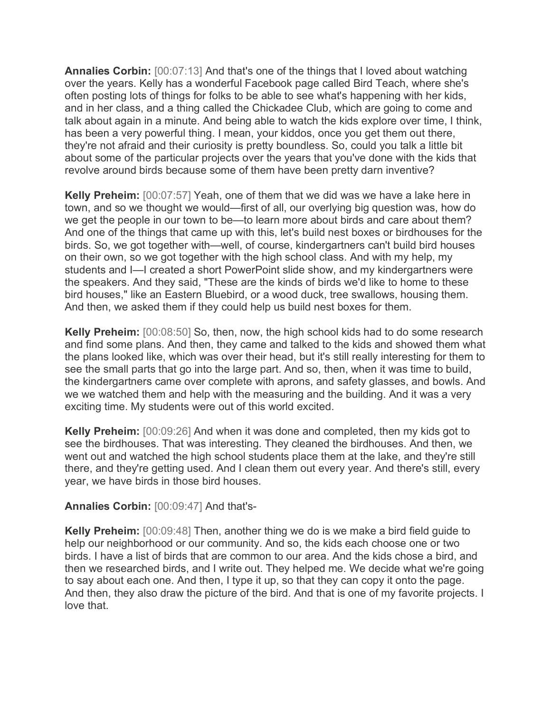**Annalies Corbin:** [00:07:13] And that's one of the things that I loved about watching over the years. Kelly has a wonderful Facebook page called Bird Teach, where she's often posting lots of things for folks to be able to see what's happening with her kids, and in her class, and a thing called the Chickadee Club, which are going to come and talk about again in a minute. And being able to watch the kids explore over time, I think, has been a very powerful thing. I mean, your kiddos, once you get them out there, they're not afraid and their curiosity is pretty boundless. So, could you talk a little bit about some of the particular projects over the years that you've done with the kids that revolve around birds because some of them have been pretty darn inventive?

**Kelly Preheim:** [00:07:57] Yeah, one of them that we did was we have a lake here in town, and so we thought we would—first of all, our overlying big question was, how do we get the people in our town to be—to learn more about birds and care about them? And one of the things that came up with this, let's build nest boxes or birdhouses for the birds. So, we got together with—well, of course, kindergartners can't build bird houses on their own, so we got together with the high school class. And with my help, my students and I—I created a short PowerPoint slide show, and my kindergartners were the speakers. And they said, "These are the kinds of birds we'd like to home to these bird houses," like an Eastern Bluebird, or a wood duck, tree swallows, housing them. And then, we asked them if they could help us build nest boxes for them.

**Kelly Preheim:** [00:08:50] So, then, now, the high school kids had to do some research and find some plans. And then, they came and talked to the kids and showed them what the plans looked like, which was over their head, but it's still really interesting for them to see the small parts that go into the large part. And so, then, when it was time to build, the kindergartners came over complete with aprons, and safety glasses, and bowls. And we we watched them and help with the measuring and the building. And it was a very exciting time. My students were out of this world excited.

**Kelly Preheim:** [00:09:26] And when it was done and completed, then my kids got to see the birdhouses. That was interesting. They cleaned the birdhouses. And then, we went out and watched the high school students place them at the lake, and they're still there, and they're getting used. And I clean them out every year. And there's still, every year, we have birds in those bird houses.

## **Annalies Corbin:** [00:09:47] And that's-

**Kelly Preheim:** [00:09:48] Then, another thing we do is we make a bird field guide to help our neighborhood or our community. And so, the kids each choose one or two birds. I have a list of birds that are common to our area. And the kids chose a bird, and then we researched birds, and I write out. They helped me. We decide what we're going to say about each one. And then, I type it up, so that they can copy it onto the page. And then, they also draw the picture of the bird. And that is one of my favorite projects. I love that.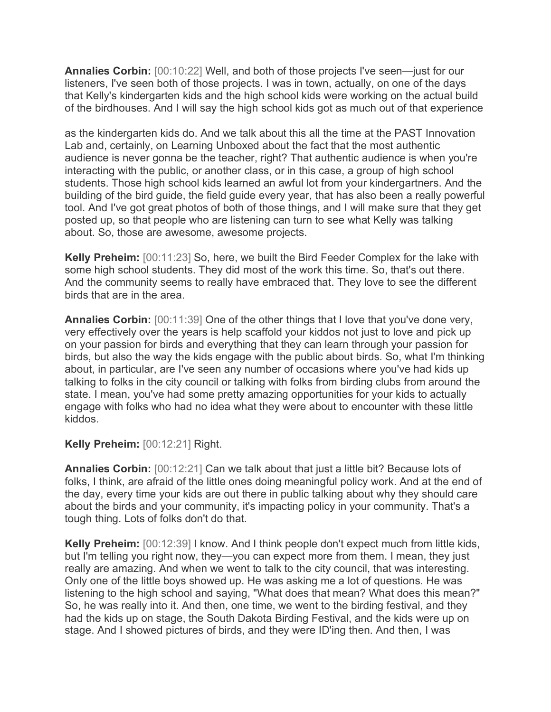**Annalies Corbin:** [00:10:22] Well, and both of those projects I've seen—just for our listeners, I've seen both of those projects. I was in town, actually, on one of the days that Kelly's kindergarten kids and the high school kids were working on the actual build of the birdhouses. And I will say the high school kids got as much out of that experience

as the kindergarten kids do. And we talk about this all the time at the PAST Innovation Lab and, certainly, on Learning Unboxed about the fact that the most authentic audience is never gonna be the teacher, right? That authentic audience is when you're interacting with the public, or another class, or in this case, a group of high school students. Those high school kids learned an awful lot from your kindergartners. And the building of the bird guide, the field guide every year, that has also been a really powerful tool. And I've got great photos of both of those things, and I will make sure that they get posted up, so that people who are listening can turn to see what Kelly was talking about. So, those are awesome, awesome projects.

**Kelly Preheim:** [00:11:23] So, here, we built the Bird Feeder Complex for the lake with some high school students. They did most of the work this time. So, that's out there. And the community seems to really have embraced that. They love to see the different birds that are in the area.

**Annalies Corbin:** [00:11:39] One of the other things that I love that you've done very, very effectively over the years is help scaffold your kiddos not just to love and pick up on your passion for birds and everything that they can learn through your passion for birds, but also the way the kids engage with the public about birds. So, what I'm thinking about, in particular, are I've seen any number of occasions where you've had kids up talking to folks in the city council or talking with folks from birding clubs from around the state. I mean, you've had some pretty amazing opportunities for your kids to actually engage with folks who had no idea what they were about to encounter with these little kiddos.

**Kelly Preheim:** [00:12:21] Right.

**Annalies Corbin:** [00:12:21] Can we talk about that just a little bit? Because lots of folks, I think, are afraid of the little ones doing meaningful policy work. And at the end of the day, every time your kids are out there in public talking about why they should care about the birds and your community, it's impacting policy in your community. That's a tough thing. Lots of folks don't do that.

**Kelly Preheim:** [00:12:39] I know. And I think people don't expect much from little kids, but I'm telling you right now, they—you can expect more from them. I mean, they just really are amazing. And when we went to talk to the city council, that was interesting. Only one of the little boys showed up. He was asking me a lot of questions. He was listening to the high school and saying, "What does that mean? What does this mean?" So, he was really into it. And then, one time, we went to the birding festival, and they had the kids up on stage, the South Dakota Birding Festival, and the kids were up on stage. And I showed pictures of birds, and they were ID'ing then. And then, I was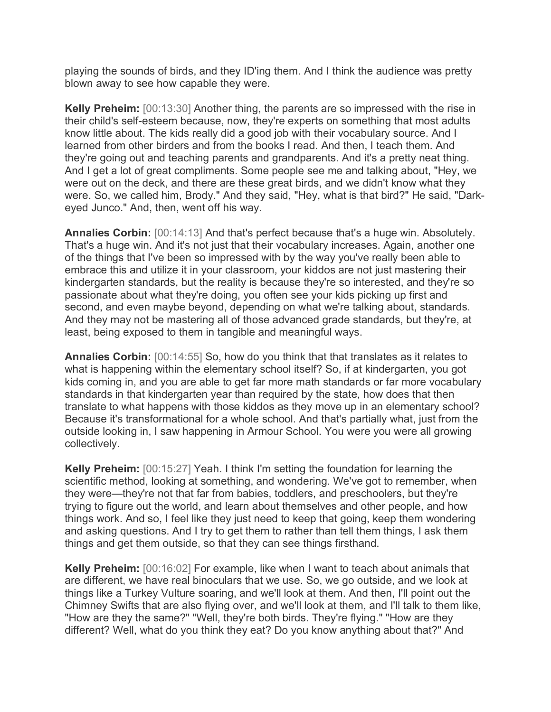playing the sounds of birds, and they ID'ing them. And I think the audience was pretty blown away to see how capable they were.

**Kelly Preheim:** [00:13:30] Another thing, the parents are so impressed with the rise in their child's self-esteem because, now, they're experts on something that most adults know little about. The kids really did a good job with their vocabulary source. And I learned from other birders and from the books I read. And then, I teach them. And they're going out and teaching parents and grandparents. And it's a pretty neat thing. And I get a lot of great compliments. Some people see me and talking about, "Hey, we were out on the deck, and there are these great birds, and we didn't know what they were. So, we called him, Brody." And they said, "Hey, what is that bird?" He said, "Darkeyed Junco." And, then, went off his way.

**Annalies Corbin:** [00:14:13] And that's perfect because that's a huge win. Absolutely. That's a huge win. And it's not just that their vocabulary increases. Again, another one of the things that I've been so impressed with by the way you've really been able to embrace this and utilize it in your classroom, your kiddos are not just mastering their kindergarten standards, but the reality is because they're so interested, and they're so passionate about what they're doing, you often see your kids picking up first and second, and even maybe beyond, depending on what we're talking about, standards. And they may not be mastering all of those advanced grade standards, but they're, at least, being exposed to them in tangible and meaningful ways.

**Annalies Corbin:** [00:14:55] So, how do you think that that translates as it relates to what is happening within the elementary school itself? So, if at kindergarten, you got kids coming in, and you are able to get far more math standards or far more vocabulary standards in that kindergarten year than required by the state, how does that then translate to what happens with those kiddos as they move up in an elementary school? Because it's transformational for a whole school. And that's partially what, just from the outside looking in, I saw happening in Armour School. You were you were all growing collectively.

**Kelly Preheim:** [00:15:27] Yeah. I think I'm setting the foundation for learning the scientific method, looking at something, and wondering. We've got to remember, when they were—they're not that far from babies, toddlers, and preschoolers, but they're trying to figure out the world, and learn about themselves and other people, and how things work. And so, I feel like they just need to keep that going, keep them wondering and asking questions. And I try to get them to rather than tell them things, I ask them things and get them outside, so that they can see things firsthand.

**Kelly Preheim:** [00:16:02] For example, like when I want to teach about animals that are different, we have real binoculars that we use. So, we go outside, and we look at things like a Turkey Vulture soaring, and we'll look at them. And then, I'll point out the Chimney Swifts that are also flying over, and we'll look at them, and I'll talk to them like, "How are they the same?" "Well, they're both birds. They're flying." "How are they different? Well, what do you think they eat? Do you know anything about that?" And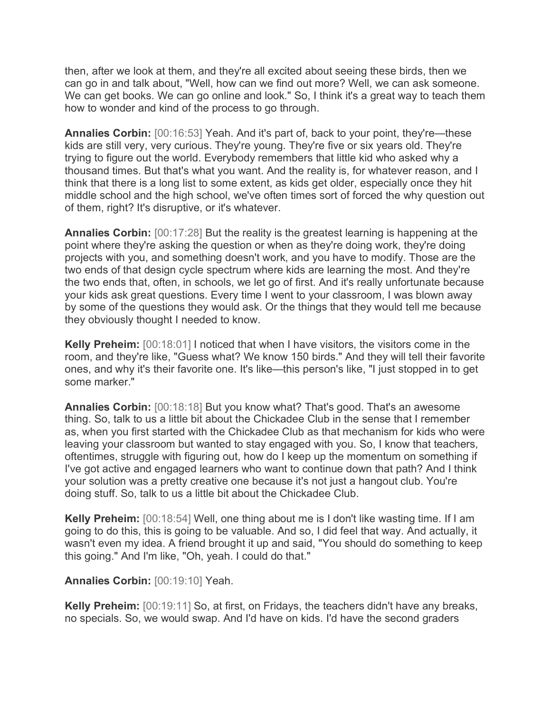then, after we look at them, and they're all excited about seeing these birds, then we can go in and talk about, "Well, how can we find out more? Well, we can ask someone. We can get books. We can go online and look." So, I think it's a great way to teach them how to wonder and kind of the process to go through.

**Annalies Corbin:** [00:16:53] Yeah. And it's part of, back to your point, they're—these kids are still very, very curious. They're young. They're five or six years old. They're trying to figure out the world. Everybody remembers that little kid who asked why a thousand times. But that's what you want. And the reality is, for whatever reason, and I think that there is a long list to some extent, as kids get older, especially once they hit middle school and the high school, we've often times sort of forced the why question out of them, right? It's disruptive, or it's whatever.

**Annalies Corbin:** [00:17:28] But the reality is the greatest learning is happening at the point where they're asking the question or when as they're doing work, they're doing projects with you, and something doesn't work, and you have to modify. Those are the two ends of that design cycle spectrum where kids are learning the most. And they're the two ends that, often, in schools, we let go of first. And it's really unfortunate because your kids ask great questions. Every time I went to your classroom, I was blown away by some of the questions they would ask. Or the things that they would tell me because they obviously thought I needed to know.

**Kelly Preheim:** [00:18:01] I noticed that when I have visitors, the visitors come in the room, and they're like, "Guess what? We know 150 birds." And they will tell their favorite ones, and why it's their favorite one. It's like—this person's like, "I just stopped in to get some marker."

**Annalies Corbin:** [00:18:18] But you know what? That's good. That's an awesome thing. So, talk to us a little bit about the Chickadee Club in the sense that I remember as, when you first started with the Chickadee Club as that mechanism for kids who were leaving your classroom but wanted to stay engaged with you. So, I know that teachers, oftentimes, struggle with figuring out, how do I keep up the momentum on something if I've got active and engaged learners who want to continue down that path? And I think your solution was a pretty creative one because it's not just a hangout club. You're doing stuff. So, talk to us a little bit about the Chickadee Club.

**Kelly Preheim:** [00:18:54] Well, one thing about me is I don't like wasting time. If I am going to do this, this is going to be valuable. And so, I did feel that way. And actually, it wasn't even my idea. A friend brought it up and said, "You should do something to keep this going." And I'm like, "Oh, yeah. I could do that."

**Annalies Corbin:** [00:19:10] Yeah.

**Kelly Preheim:** [00:19:11] So, at first, on Fridays, the teachers didn't have any breaks, no specials. So, we would swap. And I'd have on kids. I'd have the second graders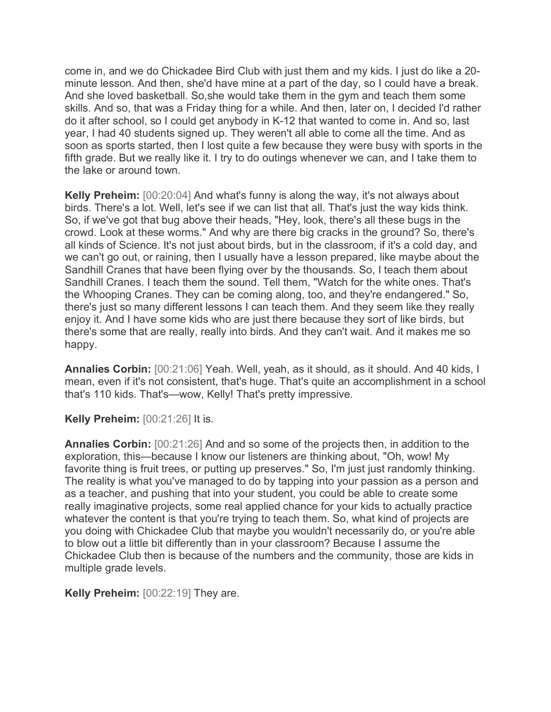come in, and we do Chickadee Bird Club with just them and my kids. I just do like a 20 minute lesson. And then, she'd have mine at a part of the day, so I could have a break. And she loved basketball. So,she would take them in the gym and teach them some skills. And so, that was a Friday thing for a while. And then, later on, I decided I'd rather do it after school, so I could get anybody in K-12 that wanted to come in. And so, last year, I had 40 students signed up. They weren't all able to come all the time. And as soon as sports started, then I lost quite a few because they were busy with sports in the fifth grade. But we really like it. I try to do outings whenever we can, and I take them to the lake or around town.

**Kelly Preheim:** [00:20:04] And what's funny is along the way, it's not always about birds. There's a lot. Well, let's see if we can list that all. That's just the way kids think. So, if we've got that bug above their heads, "Hey, look, there's all these bugs in the crowd. Look at these worms." And why are there big cracks in the ground? So, there's all kinds of Science. It's not just about birds, but in the classroom, if it's a cold day, and we can't go out, or raining, then I usually have a lesson prepared, like maybe about the Sandhill Cranes that have been flying over by the thousands. So, I teach them about Sandhill Cranes. I teach them the sound. Tell them, "Watch for the white ones. That's the Whooping Cranes. They can be coming along, too, and they're endangered." So, there's just so many different lessons I can teach them. And they seem like they really enjoy it. And I have some kids who are just there because they sort of like birds, but there's some that are really, really into birds. And they can't wait. And it makes me so happy.

**Annalies Corbin:** [00:21:06] Yeah. Well, yeah, as it should, as it should. And 40 kids, I mean, even if it's not consistent, that's huge. That's quite an accomplishment in a school that's 110 kids. That's—wow, Kelly! That's pretty impressive.

**Kelly Preheim:** [00:21:26] It is.

**Annalies Corbin:** [00:21:26] And and so some of the projects then, in addition to the exploration, this—because I know our listeners are thinking about, "Oh, wow! My favorite thing is fruit trees, or putting up preserves." So, I'm just just randomly thinking. The reality is what you've managed to do by tapping into your passion as a person and as a teacher, and pushing that into your student, you could be able to create some really imaginative projects, some real applied chance for your kids to actually practice whatever the content is that you're trying to teach them. So, what kind of projects are you doing with Chickadee Club that maybe you wouldn't necessarily do, or you're able to blow out a little bit differently than in your classroom? Because I assume the Chickadee Club then is because of the numbers and the community, those are kids in multiple grade levels.

**Kelly Preheim:** [00:22:19] They are.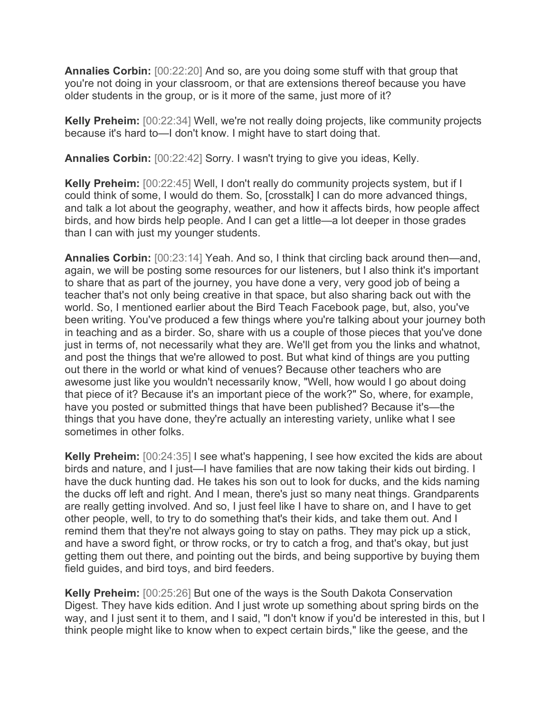**Annalies Corbin:** [00:22:20] And so, are you doing some stuff with that group that you're not doing in your classroom, or that are extensions thereof because you have older students in the group, or is it more of the same, just more of it?

**Kelly Preheim:** [00:22:34] Well, we're not really doing projects, like community projects because it's hard to—I don't know. I might have to start doing that.

**Annalies Corbin:** [00:22:42] Sorry. I wasn't trying to give you ideas, Kelly.

**Kelly Preheim:** [00:22:45] Well, I don't really do community projects system, but if I could think of some, I would do them. So, [crosstalk] I can do more advanced things, and talk a lot about the geography, weather, and how it affects birds, how people affect birds, and how birds help people. And I can get a little—a lot deeper in those grades than I can with just my younger students.

**Annalies Corbin:** [00:23:14] Yeah. And so, I think that circling back around then—and, again, we will be posting some resources for our listeners, but I also think it's important to share that as part of the journey, you have done a very, very good job of being a teacher that's not only being creative in that space, but also sharing back out with the world. So, I mentioned earlier about the Bird Teach Facebook page, but, also, you've been writing. You've produced a few things where you're talking about your journey both in teaching and as a birder. So, share with us a couple of those pieces that you've done just in terms of, not necessarily what they are. We'll get from you the links and whatnot, and post the things that we're allowed to post. But what kind of things are you putting out there in the world or what kind of venues? Because other teachers who are awesome just like you wouldn't necessarily know, "Well, how would I go about doing that piece of it? Because it's an important piece of the work?" So, where, for example, have you posted or submitted things that have been published? Because it's—the things that you have done, they're actually an interesting variety, unlike what I see sometimes in other folks.

**Kelly Preheim:** [00:24:35] I see what's happening, I see how excited the kids are about birds and nature, and I just—I have families that are now taking their kids out birding. I have the duck hunting dad. He takes his son out to look for ducks, and the kids naming the ducks off left and right. And I mean, there's just so many neat things. Grandparents are really getting involved. And so, I just feel like I have to share on, and I have to get other people, well, to try to do something that's their kids, and take them out. And I remind them that they're not always going to stay on paths. They may pick up a stick, and have a sword fight, or throw rocks, or try to catch a frog, and that's okay, but just getting them out there, and pointing out the birds, and being supportive by buying them field guides, and bird toys, and bird feeders.

**Kelly Preheim:** [00:25:26] But one of the ways is the South Dakota Conservation Digest. They have kids edition. And I just wrote up something about spring birds on the way, and I just sent it to them, and I said, "I don't know if you'd be interested in this, but I think people might like to know when to expect certain birds," like the geese, and the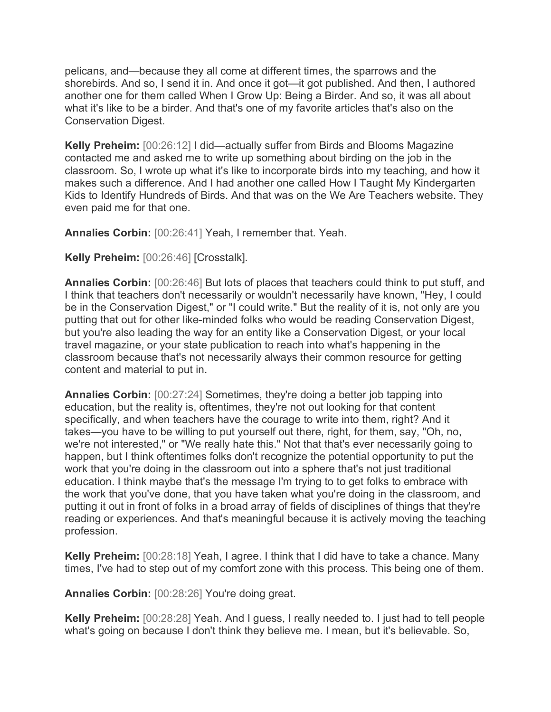pelicans, and—because they all come at different times, the sparrows and the shorebirds. And so, I send it in. And once it got—it got published. And then, I authored another one for them called When I Grow Up: Being a Birder. And so, it was all about what it's like to be a birder. And that's one of my favorite articles that's also on the Conservation Digest.

**Kelly Preheim:** [00:26:12] I did—actually suffer from Birds and Blooms Magazine contacted me and asked me to write up something about birding on the job in the classroom. So, I wrote up what it's like to incorporate birds into my teaching, and how it makes such a difference. And I had another one called How I Taught My Kindergarten Kids to Identify Hundreds of Birds. And that was on the We Are Teachers website. They even paid me for that one.

**Annalies Corbin:** [00:26:41] Yeah, I remember that. Yeah.

**Kelly Preheim:** [00:26:46] [Crosstalk].

**Annalies Corbin:** [00:26:46] But lots of places that teachers could think to put stuff, and I think that teachers don't necessarily or wouldn't necessarily have known, "Hey, I could be in the Conservation Digest," or "I could write." But the reality of it is, not only are you putting that out for other like-minded folks who would be reading Conservation Digest, but you're also leading the way for an entity like a Conservation Digest, or your local travel magazine, or your state publication to reach into what's happening in the classroom because that's not necessarily always their common resource for getting content and material to put in.

**Annalies Corbin:** [00:27:24] Sometimes, they're doing a better job tapping into education, but the reality is, oftentimes, they're not out looking for that content specifically, and when teachers have the courage to write into them, right? And it takes—you have to be willing to put yourself out there, right, for them, say, "Oh, no, we're not interested," or "We really hate this." Not that that's ever necessarily going to happen, but I think oftentimes folks don't recognize the potential opportunity to put the work that you're doing in the classroom out into a sphere that's not just traditional education. I think maybe that's the message I'm trying to to get folks to embrace with the work that you've done, that you have taken what you're doing in the classroom, and putting it out in front of folks in a broad array of fields of disciplines of things that they're reading or experiences. And that's meaningful because it is actively moving the teaching profession.

**Kelly Preheim:** [00:28:18] Yeah, I agree. I think that I did have to take a chance. Many times, I've had to step out of my comfort zone with this process. This being one of them.

**Annalies Corbin:** [00:28:26] You're doing great.

**Kelly Preheim:** [00:28:28] Yeah. And I guess, I really needed to. I just had to tell people what's going on because I don't think they believe me. I mean, but it's believable. So,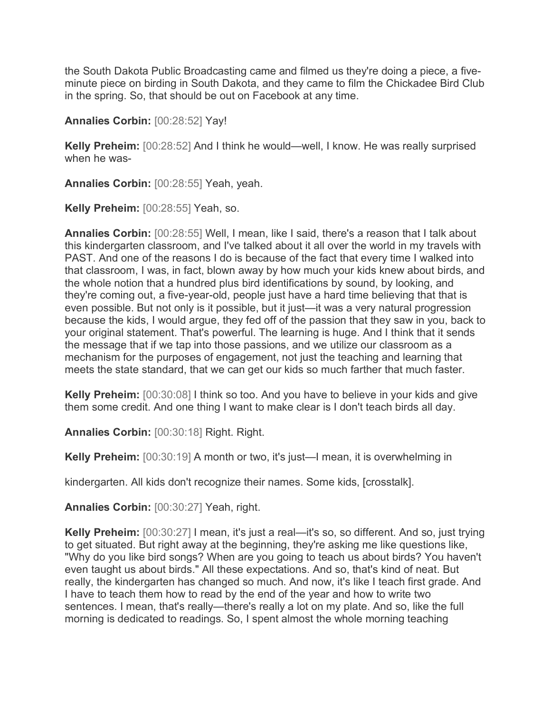the South Dakota Public Broadcasting came and filmed us they're doing a piece, a fiveminute piece on birding in South Dakota, and they came to film the Chickadee Bird Club in the spring. So, that should be out on Facebook at any time.

**Annalies Corbin:** [00:28:52] Yay!

**Kelly Preheim:** [00:28:52] And I think he would—well, I know. He was really surprised when he was-

**Annalies Corbin:** [00:28:55] Yeah, yeah.

**Kelly Preheim:** [00:28:55] Yeah, so.

**Annalies Corbin:** [00:28:55] Well, I mean, like I said, there's a reason that I talk about this kindergarten classroom, and I've talked about it all over the world in my travels with PAST. And one of the reasons I do is because of the fact that every time I walked into that classroom, I was, in fact, blown away by how much your kids knew about birds, and the whole notion that a hundred plus bird identifications by sound, by looking, and they're coming out, a five-year-old, people just have a hard time believing that that is even possible. But not only is it possible, but it just—it was a very natural progression because the kids, I would argue, they fed off of the passion that they saw in you, back to your original statement. That's powerful. The learning is huge. And I think that it sends the message that if we tap into those passions, and we utilize our classroom as a mechanism for the purposes of engagement, not just the teaching and learning that meets the state standard, that we can get our kids so much farther that much faster.

**Kelly Preheim:** [00:30:08] I think so too. And you have to believe in your kids and give them some credit. And one thing I want to make clear is I don't teach birds all day.

**Annalies Corbin:** [00:30:18] Right. Right.

**Kelly Preheim:** [00:30:19] A month or two, it's just—I mean, it is overwhelming in

kindergarten. All kids don't recognize their names. Some kids, [crosstalk].

**Annalies Corbin:** [00:30:27] Yeah, right.

**Kelly Preheim:** [00:30:27] I mean, it's just a real—it's so, so different. And so, just trying to get situated. But right away at the beginning, they're asking me like questions like, "Why do you like bird songs? When are you going to teach us about birds? You haven't even taught us about birds." All these expectations. And so, that's kind of neat. But really, the kindergarten has changed so much. And now, it's like I teach first grade. And I have to teach them how to read by the end of the year and how to write two sentences. I mean, that's really—there's really a lot on my plate. And so, like the full morning is dedicated to readings. So, I spent almost the whole morning teaching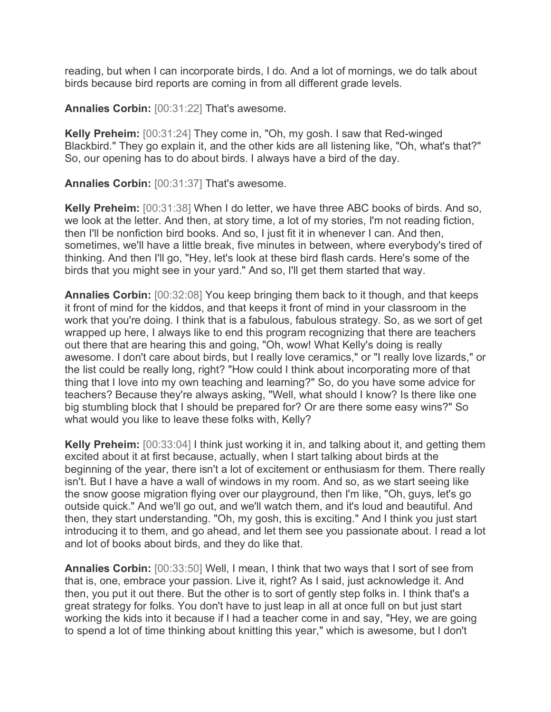reading, but when I can incorporate birds, I do. And a lot of mornings, we do talk about birds because bird reports are coming in from all different grade levels.

**Annalies Corbin:** [00:31:22] That's awesome.

**Kelly Preheim:** [00:31:24] They come in, "Oh, my gosh. I saw that Red-winged Blackbird." They go explain it, and the other kids are all listening like, "Oh, what's that?" So, our opening has to do about birds. I always have a bird of the day.

**Annalies Corbin:** [00:31:37] That's awesome.

**Kelly Preheim:** [00:31:38] When I do letter, we have three ABC books of birds. And so, we look at the letter. And then, at story time, a lot of my stories, I'm not reading fiction, then I'll be nonfiction bird books. And so, I just fit it in whenever I can. And then, sometimes, we'll have a little break, five minutes in between, where everybody's tired of thinking. And then I'll go, "Hey, let's look at these bird flash cards. Here's some of the birds that you might see in your yard." And so, I'll get them started that way.

**Annalies Corbin:** [00:32:08] You keep bringing them back to it though, and that keeps it front of mind for the kiddos, and that keeps it front of mind in your classroom in the work that you're doing. I think that is a fabulous, fabulous strategy. So, as we sort of get wrapped up here, I always like to end this program recognizing that there are teachers out there that are hearing this and going, "Oh, wow! What Kelly's doing is really awesome. I don't care about birds, but I really love ceramics," or "I really love lizards," or the list could be really long, right? "How could I think about incorporating more of that thing that I love into my own teaching and learning?" So, do you have some advice for teachers? Because they're always asking, "Well, what should I know? Is there like one big stumbling block that I should be prepared for? Or are there some easy wins?" So what would you like to leave these folks with, Kelly?

**Kelly Preheim:** [00:33:04] I think just working it in, and talking about it, and getting them excited about it at first because, actually, when I start talking about birds at the beginning of the year, there isn't a lot of excitement or enthusiasm for them. There really isn't. But I have a have a wall of windows in my room. And so, as we start seeing like the snow goose migration flying over our playground, then I'm like, "Oh, guys, let's go outside quick." And we'll go out, and we'll watch them, and it's loud and beautiful. And then, they start understanding. "Oh, my gosh, this is exciting." And I think you just start introducing it to them, and go ahead, and let them see you passionate about. I read a lot and lot of books about birds, and they do like that.

**Annalies Corbin:** [00:33:50] Well, I mean, I think that two ways that I sort of see from that is, one, embrace your passion. Live it, right? As I said, just acknowledge it. And then, you put it out there. But the other is to sort of gently step folks in. I think that's a great strategy for folks. You don't have to just leap in all at once full on but just start working the kids into it because if I had a teacher come in and say, "Hey, we are going to spend a lot of time thinking about knitting this year," which is awesome, but I don't